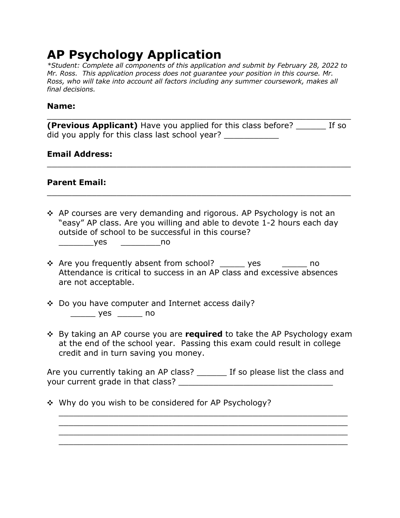# **AP Psychology Application**

*\*Student: Complete all components of this application and submit by February 28, 2022 to Mr. Ross. This application process does not guarantee your position in this course. Mr. Ross, who will take into account all factors including any summer coursework, makes all final decisions.*

#### **Name:**

**(Previous Applicant)** Have you applied for this class before? \_\_\_\_\_\_ If so did you apply for this class last school year?

\_\_\_\_\_\_\_\_\_\_\_\_\_\_\_\_\_\_\_\_\_\_\_\_\_\_\_\_\_\_\_\_\_\_\_\_\_\_\_\_\_\_\_\_\_\_\_\_\_\_\_\_\_\_\_\_\_\_\_\_\_

\_\_\_\_\_\_\_\_\_\_\_\_\_\_\_\_\_\_\_\_\_\_\_\_\_\_\_\_\_\_\_\_\_\_\_\_\_\_\_\_\_\_\_\_\_\_\_\_\_\_\_\_\_\_\_\_\_\_\_\_\_

\_\_\_\_\_\_\_\_\_\_\_\_\_\_\_\_\_\_\_\_\_\_\_\_\_\_\_\_\_\_\_\_\_\_\_\_\_\_\_\_\_\_\_\_\_\_\_\_\_\_\_\_\_\_\_\_\_\_\_\_\_

#### **Email Address:**

#### **Parent Email:**

 $\div$  AP courses are very demanding and rigorous. AP Psychology is not an "easy" AP class. Are you willing and able to devote 1-2 hours each day outside of school to be successful in this course?

- ! Are you frequently absent from school? \_\_\_\_\_ yes \_\_\_\_\_ no Attendance is critical to success in an AP class and excessive absences are not acceptable.
- ! Do you have computer and Internet access daily? \_\_\_\_\_ yes \_\_\_\_\_ no
- ! By taking an AP course you are **required** to take the AP Psychology exam at the end of the school year. Passing this exam could result in college credit and in turn saving you money.

Are you currently taking an AP class? If so please list the class and your current grade in that class? The contract of the contract of the set of the contract of the contract of the contract of the contract of the contract of the contract of the contract of the contract of the contract of t

\_\_\_\_\_\_\_\_\_\_\_\_\_\_\_\_\_\_\_\_\_\_\_\_\_\_\_\_\_\_\_\_\_\_\_\_\_\_\_\_\_\_\_\_\_\_\_\_\_\_\_\_\_\_\_\_\_\_ \_\_\_\_\_\_\_\_\_\_\_\_\_\_\_\_\_\_\_\_\_\_\_\_\_\_\_\_\_\_\_\_\_\_\_\_\_\_\_\_\_\_\_\_\_\_\_\_\_\_\_\_\_\_\_\_\_\_ \_\_\_\_\_\_\_\_\_\_\_\_\_\_\_\_\_\_\_\_\_\_\_\_\_\_\_\_\_\_\_\_\_\_\_\_\_\_\_\_\_\_\_\_\_\_\_\_\_\_\_\_\_\_\_\_\_\_ \_\_\_\_\_\_\_\_\_\_\_\_\_\_\_\_\_\_\_\_\_\_\_\_\_\_\_\_\_\_\_\_\_\_\_\_\_\_\_\_\_\_\_\_\_\_\_\_\_\_\_\_\_\_\_\_\_\_

• Why do you wish to be considered for AP Psychology?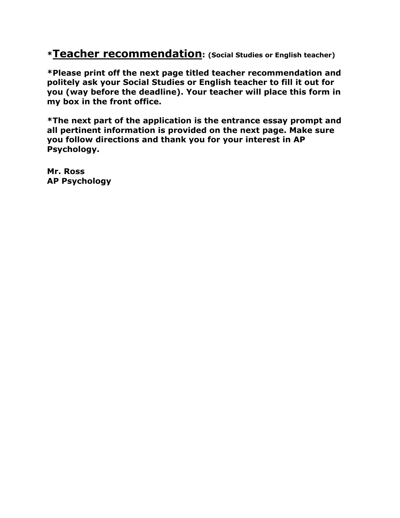**\*Teacher recommendation: (Social Studies or English teacher)**

**\*Please print off the next page titled teacher recommendation and politely ask your Social Studies or English teacher to fill it out for you (way before the deadline). Your teacher will place this form in my box in the front office.**

**\*The next part of the application is the entrance essay prompt and all pertinent information is provided on the next page. Make sure you follow directions and thank you for your interest in AP Psychology.**

**Mr. Ross AP Psychology**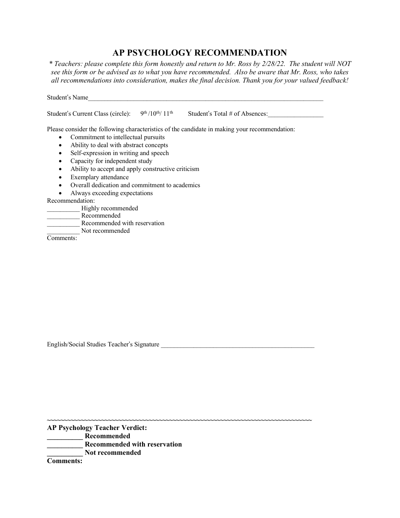### **AP PSYCHOLOGY RECOMMENDATION**

*\* Teachers: please complete this form honestly and return to Mr. Ross by 2/28/22. The student will NOT* see this form or be advised as to what you have recommended. Also be aware that Mr. Ross, who takes *all recommendations into consideration, makes the final decision. Thank you for your valued feedback!*

Student's Name

Student's Current Class (circle):  $9^{th}/10^{th}/11^{th}$  Student's Total # of Absences:

Please consider the following characteristics of the candidate in making your recommendation:

**~~~~~~~~~~~~~~~~~~~~~~~~~~~~~~~~~~~~~~~~~~~~~~~~~~~~~~~~~~~~~~~~~~~~~~~~~~~~~~**

- Commitment to intellectual pursuits
- Ability to deal with abstract concepts
- Self-expression in writing and speech
- Capacity for independent study
- Ability to accept and apply constructive criticism
- Exemplary attendance
- Overall dedication and commitment to academics
- Always exceeding expectations

Recommendation:

- Highly recommended
- \_\_\_\_\_\_\_\_\_\_ Recommended
	- \_\_\_\_\_\_\_\_\_\_ Recommended with reservation
		- Not recommended

Comments:

English/Social Studies Teacher's Signature

**AP Psychology Teacher Verdict:**

**\_\_\_\_\_\_\_\_\_\_ Recommended**

- **\_\_\_\_\_\_\_\_\_\_ Recommended with reservation**
- **\_\_\_\_\_\_\_\_\_\_ Not recommended**

**Comments:**